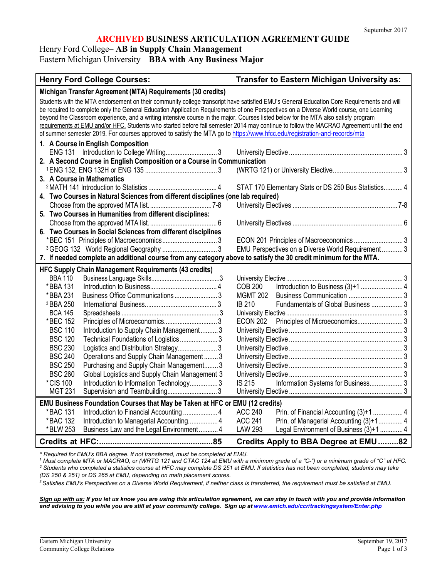# **ARCHIVED BUSINESS ARTICULATION AGREEMENT GUIDE**

Henry Ford College– **AB in Supply Chain Management**

Eastern Michigan University – **BBA with Any Business Major**

# **Henry Ford College Courses: Transfer to Eastern Michigan University as:**

| Michigan Transfer Agreement (MTA) Requirements (30 credits)                                                                               |  |  |  |
|-------------------------------------------------------------------------------------------------------------------------------------------|--|--|--|
| Students with the MTA endorsement on their community college transcript have satisfied EMU's General Education Core Requirements and will |  |  |  |
| be required to complete only the General Education Application Requirements of one Perspectives on a Diverse World course, one Learning   |  |  |  |
| beyond the Classroom experience, and a writing intensive course in the major. Courses listed below for the MTA also satisfy program       |  |  |  |
| requirements at EMU and/or HFC. Students who started before fall semester 2014 may continue to follow the MACRAO Agreement until the end  |  |  |  |
| of summer semester 2019. For courses approved to satisfy the MTA go to https://www.hfcc.edu/registration-and-records/mta                  |  |  |  |
| 1. A Course in English Composition                                                                                                        |  |  |  |
|                                                                                                                                           |  |  |  |
| 2. A Second Course in English Composition or a Course in Communication                                                                    |  |  |  |
| 3. A Course in Mathematics                                                                                                                |  |  |  |
| STAT 170 Elementary Stats or DS 250 Bus Statistics 4                                                                                      |  |  |  |
| 4. Two Courses in Natural Sciences from different disciplines (one lab required)                                                          |  |  |  |
|                                                                                                                                           |  |  |  |
| 5. Two Courses in Humanities from different disciplines:                                                                                  |  |  |  |
|                                                                                                                                           |  |  |  |
| 6. Two Courses in Social Sciences from different disciplines                                                                              |  |  |  |
|                                                                                                                                           |  |  |  |
| <sup>3</sup> GEOG 132 World Regional Geography  3<br>EMU Perspectives on a Diverse World Requirement 3                                    |  |  |  |
| 7. If needed complete an additional course from any category above to satisfy the 30 credit minimum for the MTA.                          |  |  |  |
| <b>HFC Supply Chain Management Requirements (43 credits)</b>                                                                              |  |  |  |
| <b>BBA 110</b>                                                                                                                            |  |  |  |
| *BBA 131<br><b>COB 200</b>                                                                                                                |  |  |  |
| Business Office Communications  3<br><b>MGMT 202</b><br>*BBA 231                                                                          |  |  |  |
| <b>IB 210</b><br>Fundamentals of Global Business  3<br><sup>3</sup> BBA 250                                                               |  |  |  |
| <b>BCA 145</b>                                                                                                                            |  |  |  |
| Principles of Microeconomics 3<br>*BEC 152<br><b>ECON 202</b>                                                                             |  |  |  |
| <b>BSC 110</b><br>Introduction to Supply Chain Management 3                                                                               |  |  |  |
| <b>BSC 120</b><br>Technical Foundations of Logistics 3                                                                                    |  |  |  |
| <b>BSC 230</b>                                                                                                                            |  |  |  |
| <b>BSC 240</b><br>Operations and Supply Chain Management3                                                                                 |  |  |  |
| <b>BSC 250</b><br>Purchasing and Supply Chain Management3                                                                                 |  |  |  |
| <b>BSC 260</b><br>Global Logistics and Supply Chain Management 3                                                                          |  |  |  |
| *CIS 100<br>Introduction to Information Technology 3<br>Information Systems for Business 3<br><b>IS 215</b>                               |  |  |  |
| <b>MGT 231</b>                                                                                                                            |  |  |  |
| EMU Business Foundation Courses that May be Taken at HFC or EMU (12 credits)                                                              |  |  |  |
| <b>ACC 240</b><br>*BAC 131                                                                                                                |  |  |  |
| <b>ACC 241</b><br>Prin. of Managerial Accounting (3)+1 4<br>*BAC 132<br>Introduction to Managerial Accounting 4                           |  |  |  |
| <b>LAW 293</b><br>Legal Environment of Business (3)+1  4<br>*BLW 253<br>Business Law and the Legal Environment 4                          |  |  |  |
| Credits Apply to BBA Degree at EMU82                                                                                                      |  |  |  |

*\* Required for EMU's BBA degree. If not transferred, must be completed at EMU.*

*<sup>1</sup> Must complete MTA or MACRAO, or (WRTG 121 and CTAC 124 at EMU with a minimum grade of a "C-") or a minimum grade of "C" at HFC. <sup>2</sup> Students who completed a statistics course at HFC may complete DS 251 at EMU. If statistics has not been completed, students may take (DS 250 & 251) or DS 265 at EMU, depending on math placement scores.*

<sup>3</sup> Satisfies EMU's Perspectives on a Diverse World Requirement, if neither class is transferred, the requirement must be satisfied at EMU.

*Sign up with us: If you let us know you are using this articulation agreement, we can stay in touch with you and provide information and advising to you while you are still at your community college. Sign up at [www.emich.edu/ccr/trackingsystem/Enter.php](http://www.emich.edu/ccr/trackingsystem/Enter.php)*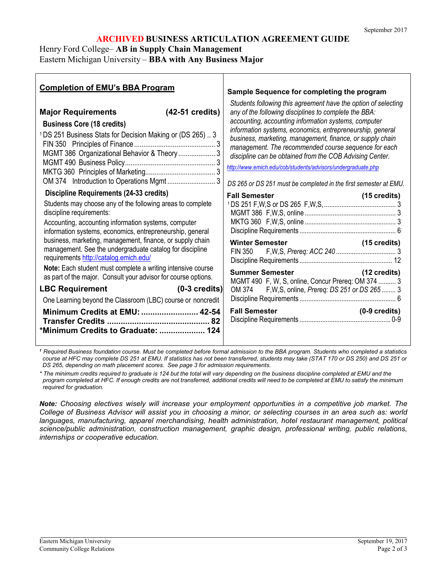# **ARCHIVED BUSINESS ARTICULATION AGREEMENT GUIDE**

Henry Ford College– **AB in Supply Chain Management**

Eastern Michigan University – **BBA with Any Business Major**

| <b>Completion of EMU's BBA Program</b>                                                                                                                                                                                                                                                                                                                                                                                                                                                                                                                                                                                                                                                                                                                                                                                                                                                                                                                                         | Sample Sequence for completing the program                                                                                                                                                                                                                                                                                                                                                                                                                                                                                                                                                                                                                                                                                                                                                                          |
|--------------------------------------------------------------------------------------------------------------------------------------------------------------------------------------------------------------------------------------------------------------------------------------------------------------------------------------------------------------------------------------------------------------------------------------------------------------------------------------------------------------------------------------------------------------------------------------------------------------------------------------------------------------------------------------------------------------------------------------------------------------------------------------------------------------------------------------------------------------------------------------------------------------------------------------------------------------------------------|---------------------------------------------------------------------------------------------------------------------------------------------------------------------------------------------------------------------------------------------------------------------------------------------------------------------------------------------------------------------------------------------------------------------------------------------------------------------------------------------------------------------------------------------------------------------------------------------------------------------------------------------------------------------------------------------------------------------------------------------------------------------------------------------------------------------|
| <b>Major Requirements</b><br>$(42-51 \text{ credits})$<br><b>Business Core (18 credits)</b><br><sup>1</sup> DS 251 Business Stats for Decision Making or (DS 265)  3<br>MGMT 386 Organizational Behavior & Theory  3<br>Discipline Requirements (24-33 credits)<br>Students may choose any of the following areas to complete<br>discipline requirements:<br>Accounting, accounting information systems, computer<br>information systems, economics, entrepreneurship, general<br>business, marketing, management, finance, or supply chain<br>management. See the undergraduate catalog for discipline<br>requirements http://catalog.emich.edu/<br>Note: Each student must complete a writing intensive course<br>as part of the major. Consult your advisor for course options.<br><b>LBC Requirement</b><br>$(0-3 \text{ credits})$<br>One Learning beyond the Classroom (LBC) course or noncredit<br>Minimum Credits at EMU:  42-54<br>*Minimum Credits to Graduate:  124 | Students following this agreement have the option of selecting<br>any of the following disciplines to complete the BBA:<br>accounting, accounting information systems, computer<br>information systems, economics, entrepreneurship, general<br>business, marketing, management, finance, or supply chain<br>management. The recommended course sequence for each<br>discipline can be obtained from the COB Advising Center.<br>http://www.emich.edu/cob/students/advisors/undergraduate.php<br>DS 265 or DS 251 must be completed in the first semester at EMU.<br><b>Fall Semester</b><br>$(15 \text{ credits})$<br>Summer Semester (12 credits)<br>MGMT 490 F, W, S, online, Concur Prereq: OM 374  3<br>OM 374 F, W, S, online, Prereq: DS 251 or DS 265  3<br><b>Fall Semester</b><br>$(0-9 \text{ credits})$ |

*<sup>1</sup> Required Business foundation course. Must be completed before formal admission to the BBA program. Students who completed a statistics course at HFC may complete DS 251 at EMU. If statistics has not been transferred, students may take (STAT 170 or DS 250) and DS 251 or DS 265, depending on math placement scores. See page 3 for admission requirements.*

*\* The minimum credits required to graduate is 124 but the total will vary depending on the business discipline completed at EMU and the* program completed at HFC. If enough credits are not transferred, additional credits will need to be completed at EMU to satisfy the minimum *required for graduation.*

*Note: Choosing electives wisely will increase your employment opportunities in a competitive job market. The College of Business Advisor will assist you in choosing a minor, or selecting courses in an area such as: world languages, manufacturing, apparel merchandising, health administration, hotel restaurant management, political science/public administration, construction management, graphic design, professional writing, public relations, internships or cooperative education.*